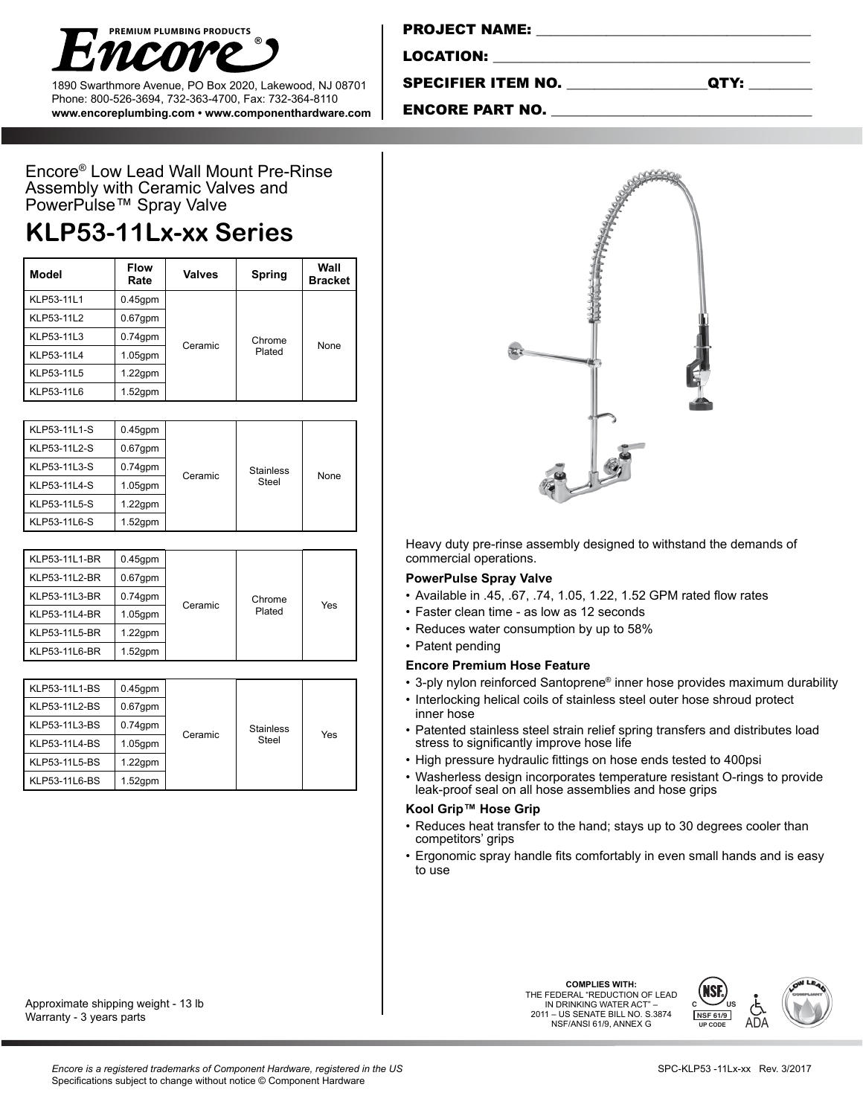

1890 Swarthmore Avenue, PO Box 2020, Lakewood, NJ 08701 Phone: 800-526-3694, 732-363-4700, Fax: 732-364-8110 **www.encoreplumbing.com • www.componenthardware.com**

| <b>PROJECT NAME:</b> |  |  |
|----------------------|--|--|
|                      |  |  |
| LOCATION:            |  |  |
|                      |  |  |

SPECIFIER ITEM NO. \_\_\_\_\_\_\_\_\_\_\_\_\_\_\_\_\_\_\_\_QTY: \_\_\_\_\_\_\_\_\_

ENCORE PART NO.

Encore® Low Lead Wall Mount Pre-Rinse Assembly with Ceramic Valves and PowerPulse™ Spray Valve

# **KLP53-11Lx-xx Series**

| Model      | <b>Flow</b><br>Rate | <b>Valves</b> | Spring           | Wall<br><b>Bracket</b> |
|------------|---------------------|---------------|------------------|------------------------|
| KLP53-11L1 | $0.45$ gpm          | Ceramic       | Chrome<br>Plated | None                   |
| KLP53-11L2 | $0.67$ gpm          |               |                  |                        |
| KLP53-11L3 | $0.74$ gpm          |               |                  |                        |
| KLP53-11L4 | $1.05$ gpm          |               |                  |                        |
| KLP53-11L5 | $1.22$ gpm          |               |                  |                        |
| KLP53-11L6 | $1.52$ gpm          |               |                  |                        |

| KLP53-11L1-S | $0.45$ gpm |         |                  |      |
|--------------|------------|---------|------------------|------|
| KLP53-11L2-S | $0.67$ gpm |         |                  |      |
| KLP53-11L3-S | $0.74$ gpm |         | <b>Stainless</b> | None |
| KLP53-11L4-S | $1.05$ gpm | Ceramic | Steel            |      |
| KLP53-11L5-S | $1.22$ gpm |         |                  |      |
| KLP53-11L6-S | $1.52$ gpm |         |                  |      |

| KLP53-11L1-BR | $0.45$ gpm |         |        |     |
|---------------|------------|---------|--------|-----|
| KLP53-11L2-BR | $0.67$ gpm |         |        |     |
| KLP53-11L3-BR | $0.74$ gpm |         | Chrome | Yes |
| KLP53-11L4-BR | $1.05$ gpm | Ceramic | Plated |     |
| KLP53-11L5-BR | $1.22$ gpm |         |        |     |
| KLP53-11L6-BR | $1.52$ gpm |         |        |     |

| KLP53-11L1-BS<br>KLP53-11L2-BS<br>KLP53-11L3-BS<br>KLP53-11L4-BS<br>KLP53-11L5-BS | $0.45$ gpm<br>$0.67$ gpm<br>$0.74$ gpm<br>$1.05$ gpm<br>$1.22$ gpm | Ceramic | <b>Stainless</b><br>Steel | Yes |
|-----------------------------------------------------------------------------------|--------------------------------------------------------------------|---------|---------------------------|-----|
|                                                                                   |                                                                    |         |                           |     |
| KLP53-11L6-BS                                                                     | $1.52$ gpm                                                         |         |                           |     |

Approximate shipping weight - 13 lb Warranty - 3 years parts



Heavy duty pre-rinse assembly designed to withstand the demands of commercial operations.

### **PowerPulse Spray Valve**

- • Available in .45, .67, .74, 1.05, 1.22, 1.52 GPM rated flow rates
- Faster clean time as low as 12 seconds
- Reduces water consumption by up to 58%
- Patent pending

#### **Encore Premium Hose Feature**

- 3-ply nylon reinforced Santoprene® inner hose provides maximum durability
- Interlocking helical coils of stainless steel outer hose shroud protect inner hose
- Patented stainless steel strain relief spring transfers and distributes load stress to significantly improve hose life
- High pressure hydraulic fittings on hose ends tested to 400psi
- • Washerless design incorporates temperature resistant O-rings to provide leak-proof seal on all hose assemblies and hose grips

## **Kool Grip™ Hose Grip**

- Reduces heat transfer to the hand; stays up to 30 degrees cooler than competitors' grips
- Ergonomic spray handle fits comfortably in even small hands and is easy to use

**COMPLIES WITH:<br>THE FEDERAL "REDUCTION OF LEAD** IN DRINKING WATER ACT" – 2011 – US SENATE BILL NO. S.3874 NSF/ANSI 61/9, ANNEX G